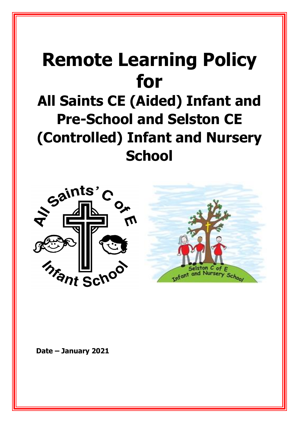# **Remote Learning Policy for**

# **All Saints CE (Aided) Infant and Pre-School and Selston CE (Controlled) Infant and Nursery School**





**Date – January 2021**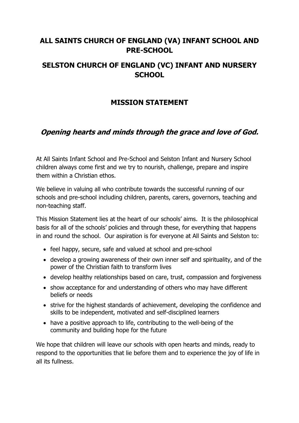# **ALL SAINTS CHURCH OF ENGLAND (VA) INFANT SCHOOL AND PRE-SCHOOL**

# **SELSTON CHURCH OF ENGLAND (VC) INFANT AND NURSERY SCHOOL**

# **MISSION STATEMENT**

# **Opening hearts and minds through the grace and love of God.**

At All Saints Infant School and Pre-School and Selston Infant and Nursery School children always come first and we try to nourish, challenge, prepare and inspire them within a Christian ethos.

We believe in valuing all who contribute towards the successful running of our schools and pre-school including children, parents, carers, governors, teaching and non-teaching staff.

This Mission Statement lies at the heart of our schools' aims. It is the philosophical basis for all of the schools' policies and through these, for everything that happens in and round the school. Our aspiration is for everyone at All Saints and Selston to:

- feel happy, secure, safe and valued at school and pre-school
- develop a growing awareness of their own inner self and spirituality, and of the power of the Christian faith to transform lives
- develop healthy relationships based on care, trust, compassion and forgiveness
- show acceptance for and understanding of others who may have different beliefs or needs
- strive for the highest standards of achievement, developing the confidence and skills to be independent, motivated and self-disciplined learners
- have a positive approach to life, contributing to the well-being of the community and building hope for the future

We hope that children will leave our schools with open hearts and minds, ready to respond to the opportunities that lie before them and to experience the joy of life in all its fullness.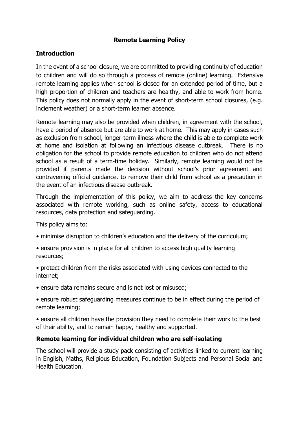#### **Remote Learning Policy**

#### **Introduction**

In the event of a school closure, we are committed to providing continuity of education to children and will do so through a process of remote (online) learning. Extensive remote learning applies when school is closed for an extended period of time, but a high proportion of children and teachers are healthy, and able to work from home. This policy does not normally apply in the event of short-term school closures, (e.g. inclement weather) or a short-term learner absence.

Remote learning may also be provided when children, in agreement with the school, have a period of absence but are able to work at home. This may apply in cases such as exclusion from school, longer-term illness where the child is able to complete work at home and isolation at following an infectious disease outbreak. There is no obligation for the school to provide remote education to children who do not attend school as a result of a term-time holiday. Similarly, remote learning would not be provided if parents made the decision without school's prior agreement and contravening official guidance, to remove their child from school as a precaution in the event of an infectious disease outbreak.

Through the implementation of this policy, we aim to address the key concerns associated with remote working, such as online safety, access to educational resources, data protection and safeguarding.

This policy aims to:

- minimise disruption to children's education and the delivery of the curriculum;
- ensure provision is in place for all children to access high quality learning resources;
- protect children from the risks associated with using devices connected to the internet;
- ensure data remains secure and is not lost or misused;
- ensure robust safeguarding measures continue to be in effect during the period of remote learning;
- ensure all children have the provision they need to complete their work to the best of their ability, and to remain happy, healthy and supported.

#### **Remote learning for individual children who are self-isolating**

The school will provide a study pack consisting of activities linked to current learning in English, Maths, Religious Education, Foundation Subjects and Personal Social and Health Education.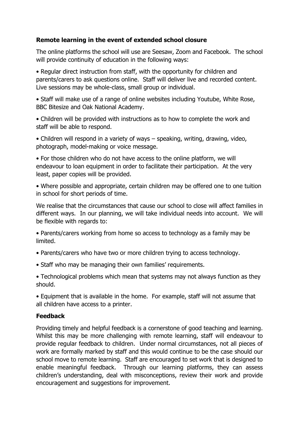#### **Remote learning in the event of extended school closure**

The online platforms the school will use are Seesaw, Zoom and Facebook. The school will provide continuity of education in the following ways:

• Regular direct instruction from staff, with the opportunity for children and parents/carers to ask questions online. Staff will deliver live and recorded content. Live sessions may be whole-class, small group or individual.

• Staff will make use of a range of online websites including Youtube, White Rose, BBC Bitesize and Oak National Academy.

• Children will be provided with instructions as to how to complete the work and staff will be able to respond.

• Children will respond in a variety of ways – speaking, writing, drawing, video, photograph, model-making or voice message.

• For those children who do not have access to the online platform, we will endeavour to loan equipment in order to facilitate their participation. At the very least, paper copies will be provided.

• Where possible and appropriate, certain children may be offered one to one tuition in school for short periods of time.

We realise that the circumstances that cause our school to close will affect families in different ways. In our planning, we will take individual needs into account. We will be flexible with regards to:

- Parents/carers working from home so access to technology as a family may be limited.
- Parents/carers who have two or more children trying to access technology.
- Staff who may be managing their own families' requirements.

• Technological problems which mean that systems may not always function as they should.

• Equipment that is available in the home. For example, staff will not assume that all children have access to a printer.

#### **Feedback**

Providing timely and helpful feedback is a cornerstone of good teaching and learning. Whilst this may be more challenging with remote learning, staff will endeavour to provide regular feedback to children. Under normal circumstances, not all pieces of work are formally marked by staff and this would continue to be the case should our school move to remote learning. Staff are encouraged to set work that is designed to enable meaningful feedback. Through our learning platforms, they can assess children's understanding, deal with misconceptions, review their work and provide encouragement and suggestions for improvement.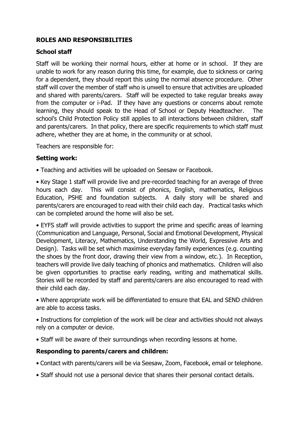#### **ROLES AND RESPONSIBILITIES**

#### **School staff**

Staff will be working their normal hours, either at home or in school. If they are unable to work for any reason during this time, for example, due to sickness or caring for a dependent, they should report this using the normal absence procedure. Other staff will cover the member of staff who is unwell to ensure that activities are uploaded and shared with parents/carers. Staff will be expected to take regular breaks away from the computer or i-Pad. If they have any questions or concerns about remote learning, they should speak to the Head of School or Deputy Headteacher. The school's Child Protection Policy still applies to all interactions between children, staff and parents/carers. In that policy, there are specific requirements to which staff must adhere, whether they are at home, in the community or at school.

Teachers are responsible for:

#### **Setting work:**

• Teaching and activities will be uploaded on Seesaw or Facebook.

• Key Stage 1 staff will provide live and pre-recorded teaching for an average of three hours each day. This will consist of phonics, English, mathematics, Religious Education, PSHE and foundation subjects. A daily story will be shared and parents/carers are encouraged to read with their child each day. Practical tasks which can be completed around the home will also be set.

• EYFS staff will provide activities to support the prime and specific areas of learning (Communication and Language, Personal, Social and Emotional Development, Physical Development, Literacy, Mathematics, Understanding the World, Expressive Arts and Design). Tasks will be set which maximise everyday family experiences (e.g. counting the shoes by the front door, drawing their view from a window, etc.). In Reception, teachers will provide live daily teaching of phonics and mathematics. Children will also be given opportunities to practise early reading, writing and mathematical skills. Stories will be recorded by staff and parents/carers are also encouraged to read with their child each day.

• Where appropriate work will be differentiated to ensure that EAL and SEND children are able to access tasks.

• Instructions for completion of the work will be clear and activities should not always rely on a computer or device.

• Staff will be aware of their surroundings when recording lessons at home.

#### **Responding to parents/carers and children:**

- Contact with parents/carers will be via Seesaw, Zoom, Facebook, email or telephone.
- Staff should not use a personal device that shares their personal contact details.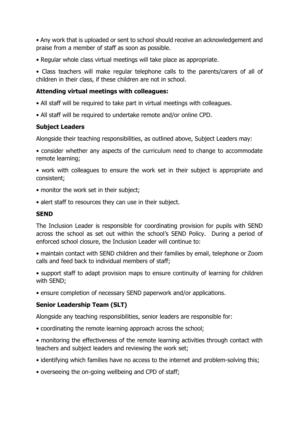• Any work that is uploaded or sent to school should receive an acknowledgement and praise from a member of staff as soon as possible.

• Regular whole class virtual meetings will take place as appropriate.

• Class teachers will make regular telephone calls to the parents/carers of all of children in their class, if these children are not in school.

#### **Attending virtual meetings with colleagues:**

- All staff will be required to take part in virtual meetings with colleagues.
- All staff will be required to undertake remote and/or online CPD.

#### **Subject Leaders**

Alongside their teaching responsibilities, as outlined above, Subject Leaders may:

• consider whether any aspects of the curriculum need to change to accommodate remote learning;

• work with colleagues to ensure the work set in their subject is appropriate and consistent;

- monitor the work set in their subject;
- alert staff to resources they can use in their subject.

#### **SEND**

The Inclusion Leader is responsible for coordinating provision for pupils with SEND across the school as set out within the school's SEND Policy. During a period of enforced school closure, the Inclusion Leader will continue to:

• maintain contact with SEND children and their families by email, telephone or Zoom calls and feed back to individual members of staff;

• support staff to adapt provision maps to ensure continuity of learning for children with SEND;

• ensure completion of necessary SEND paperwork and/or applications.

#### **Senior Leadership Team (SLT)**

Alongside any teaching responsibilities, senior leaders are responsible for:

- coordinating the remote learning approach across the school;
- monitoring the effectiveness of the remote learning activities through contact with teachers and subject leaders and reviewing the work set;
- identifying which families have no access to the internet and problem-solving this;
- overseeing the on-going wellbeing and CPD of staff;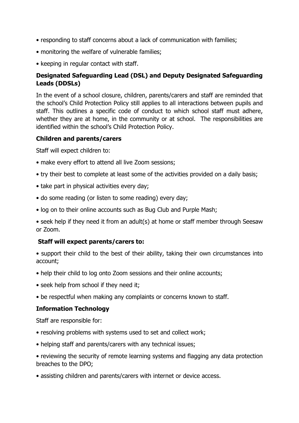- responding to staff concerns about a lack of communication with families;
- monitoring the welfare of vulnerable families;
- keeping in regular contact with staff.

#### **Designated Safeguarding Lead (DSL) and Deputy Designated Safeguarding Leads (DDSLs)**

In the event of a school closure, children, parents/carers and staff are reminded that the school's Child Protection Policy still applies to all interactions between pupils and staff. This outlines a specific code of conduct to which school staff must adhere, whether they are at home, in the community or at school. The responsibilities are identified within the school's Child Protection Policy.

#### **Children and parents/carers**

Staff will expect children to:

- make every effort to attend all live Zoom sessions;
- try their best to complete at least some of the activities provided on a daily basis;
- take part in physical activities every day;
- do some reading (or listen to some reading) every day;
- log on to their online accounts such as Bug Club and Purple Mash;
- seek help if they need it from an adult(s) at home or staff member through Seesaw or Zoom.

#### **Staff will expect parents/carers to:**

- support their child to the best of their ability, taking their own circumstances into account;
- help their child to log onto Zoom sessions and their online accounts;
- seek help from school if they need it;
- be respectful when making any complaints or concerns known to staff.

#### **Information Technology**

Staff are responsible for:

- resolving problems with systems used to set and collect work;
- helping staff and parents/carers with any technical issues;
- reviewing the security of remote learning systems and flagging any data protection breaches to the DPO;
- assisting children and parents/carers with internet or device access.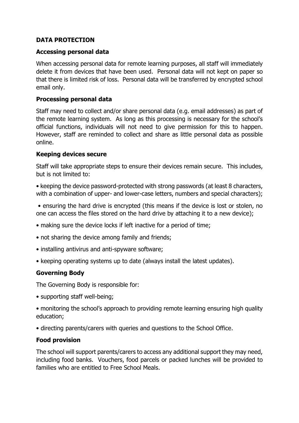#### **DATA PROTECTION**

#### **Accessing personal data**

When accessing personal data for remote learning purposes, all staff will immediately delete it from devices that have been used. Personal data will not kept on paper so that there is limited risk of loss. Personal data will be transferred by encrypted school email only.

#### **Processing personal data**

Staff may need to collect and/or share personal data (e.g. email addresses) as part of the remote learning system. As long as this processing is necessary for the school's official functions, individuals will not need to give permission for this to happen. However, staff are reminded to collect and share as little personal data as possible online.

#### **Keeping devices secure**

Staff will take appropriate steps to ensure their devices remain secure. This includes, but is not limited to:

• keeping the device password-protected with strong passwords (at least 8 characters, with a combination of upper- and lower-case letters, numbers and special characters);

• ensuring the hard drive is encrypted (this means if the device is lost or stolen, no one can access the files stored on the hard drive by attaching it to a new device);

- making sure the device locks if left inactive for a period of time;
- not sharing the device among family and friends;
- installing antivirus and anti-spyware software;
- keeping operating systems up to date (always install the latest updates).

#### **Governing Body**

The Governing Body is responsible for:

- supporting staff well-being;
- monitoring the school's approach to providing remote learning ensuring high quality education;
- directing parents/carers with queries and questions to the School Office.

#### **Food provision**

The school will support parents/carers to access any additional support they may need, including food banks. Vouchers, food parcels or packed lunches will be provided to families who are entitled to Free School Meals.